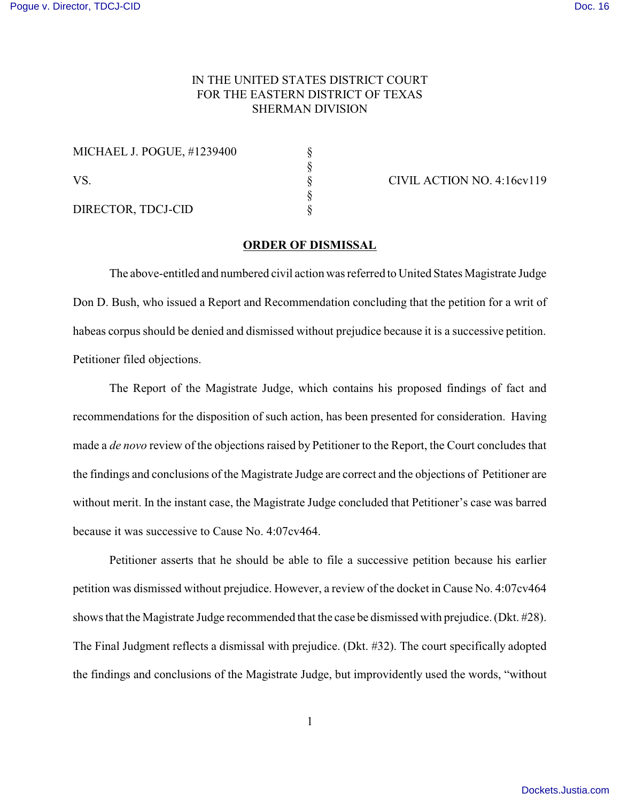## IN THE UNITED STATES DISTRICT COURT FOR THE EASTERN DISTRICT OF TEXAS SHERMAN DIVISION

| MICHAEL J. POGUE, #1239400 |  |
|----------------------------|--|
| VS.                        |  |
| DIRECTOR, TDCJ-CID         |  |

CIVIL ACTION NO. 4:16cv119

## **ORDER OF DISMISSAL**

The above-entitled and numbered civil action was referred to United States Magistrate Judge Don D. Bush, who issued a Report and Recommendation concluding that the petition for a writ of habeas corpus should be denied and dismissed without prejudice because it is a successive petition. Petitioner filed objections.

The Report of the Magistrate Judge, which contains his proposed findings of fact and recommendations for the disposition of such action, has been presented for consideration. Having made a *de novo* review of the objections raised by Petitioner to the Report, the Court concludes that the findings and conclusions of the Magistrate Judge are correct and the objections of Petitioner are without merit. In the instant case, the Magistrate Judge concluded that Petitioner's case was barred because it was successive to Cause No. 4:07cv464.

Petitioner asserts that he should be able to file a successive petition because his earlier petition was dismissed without prejudice. However, a review of the docket in Cause No. 4:07cv464 shows that the Magistrate Judge recommended that the case be dismissed with prejudice. (Dkt. #28). The Final Judgment reflects a dismissal with prejudice. (Dkt. #32). The court specifically adopted the findings and conclusions of the Magistrate Judge, but improvidently used the words, "without